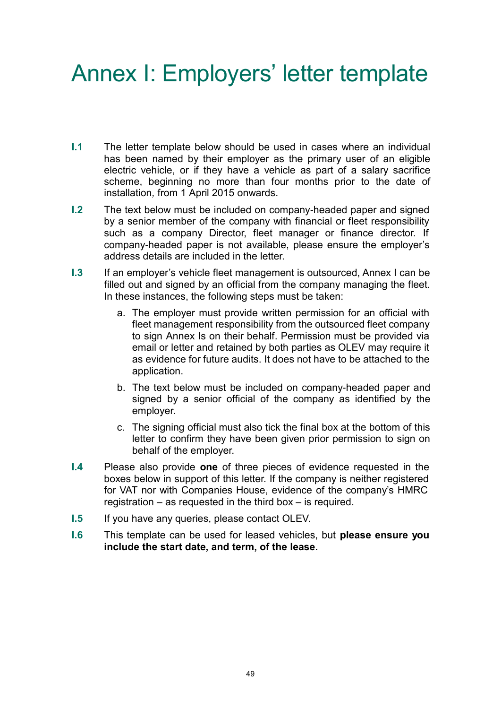## Annex I: Employers' letter template

- **I.1** The letter template below should be used in cases where an individual has been named by their employer as the primary user of an eligible electric vehicle, or if they have a vehicle as part of a salary sacrifice scheme, beginning no more than four months prior to the date of installation*,* from 1 April 2015 onwards.
- **I.2** The text below must be included on company-headed paper and signed by a senior member of the company with financial or fleet responsibility such as a company Director, fleet manager or finance director. If company-headed paper is not available, please ensure the employer's address details are included in the letter.
- **I.3** If an employer's vehicle fleet management is outsourced, Annex I can be filled out and signed by an official from the company managing the fleet. In these instances, the following steps must be taken:
	- a. The employer must provide written permission for an official with fleet management responsibility from the outsourced fleet company to sign Annex Is on their behalf. Permission must be provided via email or letter and retained by both parties as OLEV may require it as evidence for future audits. It does not have to be attached to the application.
	- b. The text below must be included on company-headed paper and signed by a senior official of the company as identified by the employer.
	- c. The signing official must also tick the final box at the bottom of this letter to confirm they have been given prior permission to sign on behalf of the employer.
- **I.4** Please also provide **one** of three pieces of evidence requested in the boxes below in support of this letter. If the company is neither registered for VAT nor with Companies House, evidence of the company's HMRC registration – as requested in the third box – is required.
- **I.5** If you have any queries, please contact OLEV.
- **I.6** This template can be used for leased vehicles, but **please ensure you include the start date, and term, of the lease.**